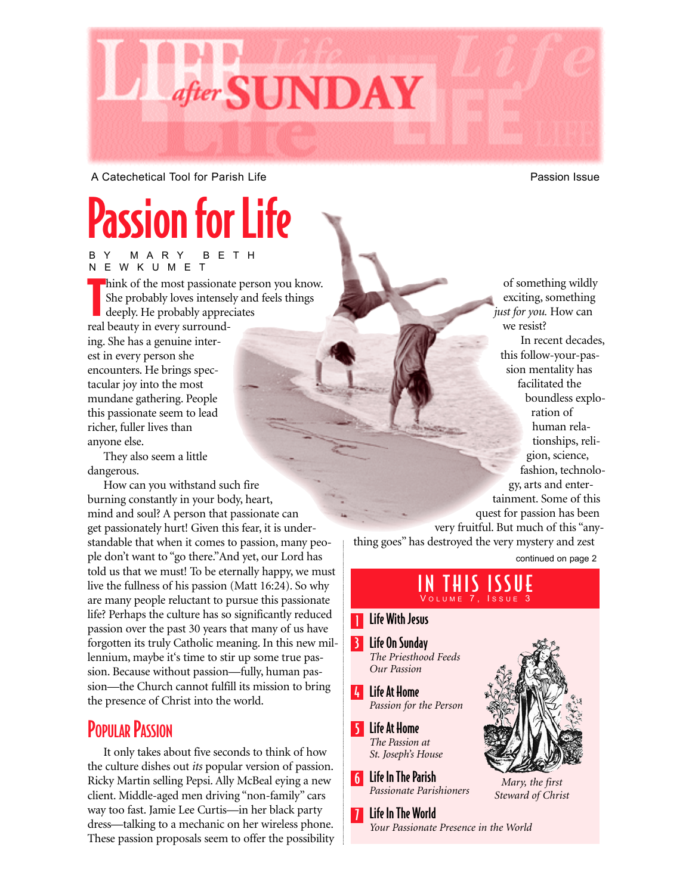

A Catechetical Tool for Parish Life **Passion Issue** Passion Issue

# Passion for Life

BY MARY BETH NEWKUMET

T hink of the most passionate person you know. She probably loves intensely and feels things deeply. He probably appreciates real beauty in every surrounding. She has a genuine interest in every person she encounters. He brings spectacular joy into the most mundane gathering. People this passionate seem to lead richer, fuller lives than anyone else.

They also seem a little dangerous.

How can you withstand such fire burning constantly in your body, heart, mind and soul? A person that passionate can get passionately hurt! Given this fear, it is understandable that when it comes to passion, many people don't want to "go there."And yet, our Lord has told us that we must! To be eternally happy, we must live the fullness of his passion (Matt 16:24). So why are many people reluctant to pursue this passionate life? Perhaps the culture has so significantly reduced passion over the past 30 years that many of us have forgotten its truly Catholic meaning. In this new millennium, maybe it's time to stir up some true passion. Because without passion—fully, human passion—the Church cannot fulfill its mission to bring the presence of Christ into the world.

### **POPULAR PASSION**

It only takes about five seconds to think of how the culture dishes out *its* popular version of passion. Ricky Martin selling Pepsi. Ally McBeal eying a new client. Middle-aged men driving "non-family" cars way too fast. Jamie Lee Curtis—in her black party dress—talking to a mechanic on her wireless phone. These passion proposals seem to offer the possibility

of something wildly exciting, something *just for you.* How can we resist? In recent decades, this follow-your-passion mentality has facilitated the boundless exploration of human relationships, religion, science, fashion, technology, arts and entertainment. Some of this quest for passion has been very fruitful. But much of this "anything goes" has destroyed the very mystery and zest

continued on page 2

### IN THIS ISSUE **VOLUME**

### Life With Jesus

1

3 Life On Sunday *The Priesthood Feeds Our Passion*

4 Life At Home *Passion for the Person*

5 Life At Home *The Passion at St. Joseph's House* 

6 Life In The Parish *Passionate Parishioners*

7 Life In The World *Your Passionate Presence in the World*



*Mary, the first Steward of Christ*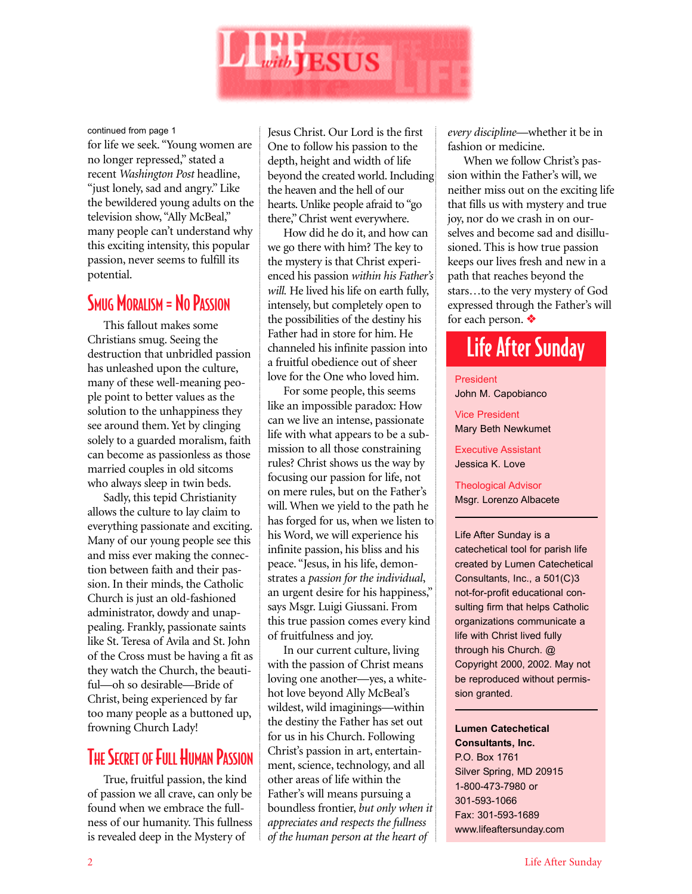

continued from page 1

for life we seek. "Young women are no longer repressed," stated a recent *Washington Post* headline, "just lonely, sad and angry." Like the bewildered young adults on the television show, "Ally McBeal," many people can't understand why this exciting intensity, this popular passion, never seems to fulfill its potential.

### SMUG MORALISM = NO PASSION

This fallout makes some Christians smug. Seeing the destruction that unbridled passion has unleashed upon the culture, many of these well-meaning people point to better values as the solution to the unhappiness they see around them. Yet by clinging solely to a guarded moralism, faith can become as passionless as those married couples in old sitcoms who always sleep in twin beds.

Sadly, this tepid Christianity allows the culture to lay claim to everything passionate and exciting. Many of our young people see this and miss ever making the connection between faith and their passion. In their minds, the Catholic Church is just an old-fashioned administrator, dowdy and unappealing. Frankly, passionate saints like St. Teresa of Avila and St. John of the Cross must be having a fit as they watch the Church, the beautiful—oh so desirable—Bride of Christ, being experienced by far too many people as a buttoned up, frowning Church Lady!

### **THE SECRET OF FULL HUMAN PASSION**

True, fruitful passion, the kind of passion we all crave, can only be found when we embrace the fullness of our humanity. This fullness is revealed deep in the Mystery of

Jesus Christ. Our Lord is the first One to follow his passion to the depth, height and width of life beyond the created world. Including the heaven and the hell of our hearts. Unlike people afraid to "go there," Christ went everywhere.

How did he do it, and how can we go there with him? The key to the mystery is that Christ experienced his passion *within his Father's will.* He lived his life on earth fully, intensely, but completely open to the possibilities of the destiny his Father had in store for him. He channeled his infinite passion into a fruitful obedience out of sheer love for the One who loved him.

For some people, this seems like an impossible paradox: How can we live an intense, passionate life with what appears to be a submission to all those constraining rules? Christ shows us the way by focusing our passion for life, not on mere rules, but on the Father's will. When we yield to the path he has forged for us, when we listen to his Word, we will experience his infinite passion, his bliss and his peace. "Jesus, in his life, demonstrates a *passion for the individual*, an urgent desire for his happiness," says Msgr. Luigi Giussani. From this true passion comes every kind of fruitfulness and joy.

In our current culture, living with the passion of Christ means loving one another—yes, a whitehot love beyond Ally McBeal's wildest, wild imaginings—within the destiny the Father has set out for us in his Church. Following Christ's passion in art, entertainment, science, technology, and all other areas of life within the Father's will means pursuing a boundless frontier, *but only when it appreciates and respects the fullness of the human person at the heart of*

*every discipline*—whether it be in fashion or medicine.

When we follow Christ's passion within the Father's will, we neither miss out on the exciting life that fills us with mystery and true joy, nor do we crash in on ourselves and become sad and disillusioned. This is how true passion keeps our lives fresh and new in a path that reaches beyond the stars…to the very mystery of God expressed through the Father's will for each person. ❖

## Life After Sunday

President John M. Capobianco

Vice President Mary Beth Newkumet

Executive Assistant Jessica K. Love

Theological Advisor Msgr. Lorenzo Albacete

Life After Sunday is a catechetical tool for parish life created by Lumen Catechetical Consultants, Inc., a 501(C)3 not-for-profit educational consulting firm that helps Catholic organizations communicate a life with Christ lived fully through his Church. @ Copyright 2000, 2002. May not be reproduced without permission granted.

**Lumen Catechetical Consultants, Inc.** P.O. Box 1761 Silver Spring, MD 20915 1-800-473-7980 or 301-593-1066 Fax: 301-593-1689 www.lifeaftersunday.com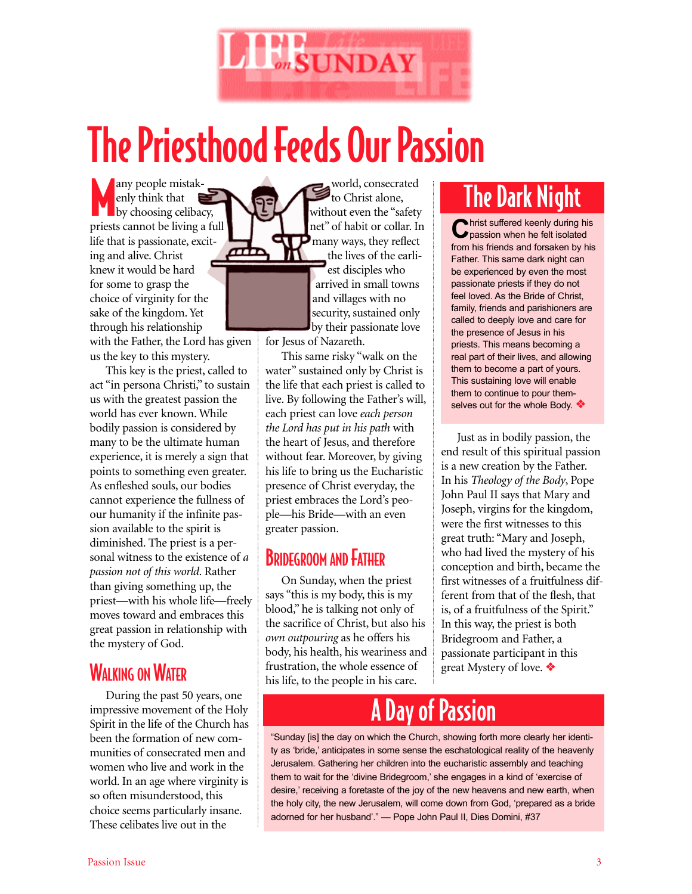

# The Priesthood Feeds Our Passion

any people mistak-<br>
by choosing celibacy,<br>
priests cannot be living a full any people mistakenly think that by choosing celibacy, life that is passionate, exciting and alive. Christ knew it would be hard for some to grasp the choice of virginity for the sake of the kingdom. Yet through his relationship with the Father, the Lord has given

us the key to this mystery. This key is the priest, called to act "in persona Christi," to sustain us with the greatest passion the world has ever known. While bodily passion is considered by many to be the ultimate human experience, it is merely a sign that points to something even greater. As enfleshed souls, our bodies cannot experience the fullness of our humanity if the infinite passion available to the spirit is diminished. The priest is a personal witness to the existence of *a passion not of this world*. Rather than giving something up, the priest—with his whole life—freely moves toward and embraces this great passion in relationship with the mystery of God.

### **WALKING ON WATER**

During the past 50 years, one impressive movement of the Holy Spirit in the life of the Church has been the formation of new communities of consecrated men and women who live and work in the world. In an age where virginity is so often misunderstood, this choice seems particularly insane. These celibates live out in the

world, consecrated to Christ alone, without even the "safety net" of habit or collar. In many ways, they reflect the lives of the earliest disciples who arrived in small towns and villages with no security, sustained only by their passionate love

for Jesus of Nazareth.

This same risky "walk on the water" sustained only by Christ is the life that each priest is called to live. By following the Father's will, each priest can love *each person the Lord has put in his path* with the heart of Jesus, and therefore without fear. Moreover, by giving his life to bring us the Eucharistic presence of Christ everyday, the priest embraces the Lord's people—his Bride—with an even greater passion.

### **BRIDEGROOM AND FATHER**

On Sunday, when the priest says "this is my body, this is my blood," he is talking not only of the sacrifice of Christ, but also his *own outpouring* as he offers his body, his health, his weariness and frustration, the whole essence of his life, to the people in his care.

# The Dark Night

**C**hrist suffered keenly during his<br> **C** passion when he felt isolated from his friends and forsaken by his Father. This same dark night can be experienced by even the most passionate priests if they do not feel loved. As the Bride of Christ, family, friends and parishioners are called to deeply love and care for the presence of Jesus in his priests. This means becoming a real part of their lives, and allowing them to become a part of yours. This sustaining love will enable them to continue to pour themselves out for the whole Body. ❖

Just as in bodily passion, the end result of this spiritual passion is a new creation by the Father. In his *Theology of the Body*, Pope John Paul II says that Mary and Joseph, virgins for the kingdom, were the first witnesses to this great truth: "Mary and Joseph, who had lived the mystery of his conception and birth, became the first witnesses of a fruitfulness different from that of the flesh, that is, of a fruitfulness of the Spirit." In this way, the priest is both Bridegroom and Father, a passionate participant in this great Mystery of love. ❖

# **Day of Passion**

"Sunday [is] the day on which the Church, showing forth more clearly her identity as 'bride,' anticipates in some sense the eschatological reality of the heavenly Jerusalem. Gathering her children into the eucharistic assembly and teaching them to wait for the 'divine Bridegroom,' she engages in a kind of 'exercise of desire,' receiving a foretaste of the joy of the new heavens and new earth, when the holy city, the new Jerusalem, will come down from God, 'prepared as a bride adorned for her husband'." — Pope John Paul II, Dies Domini, #37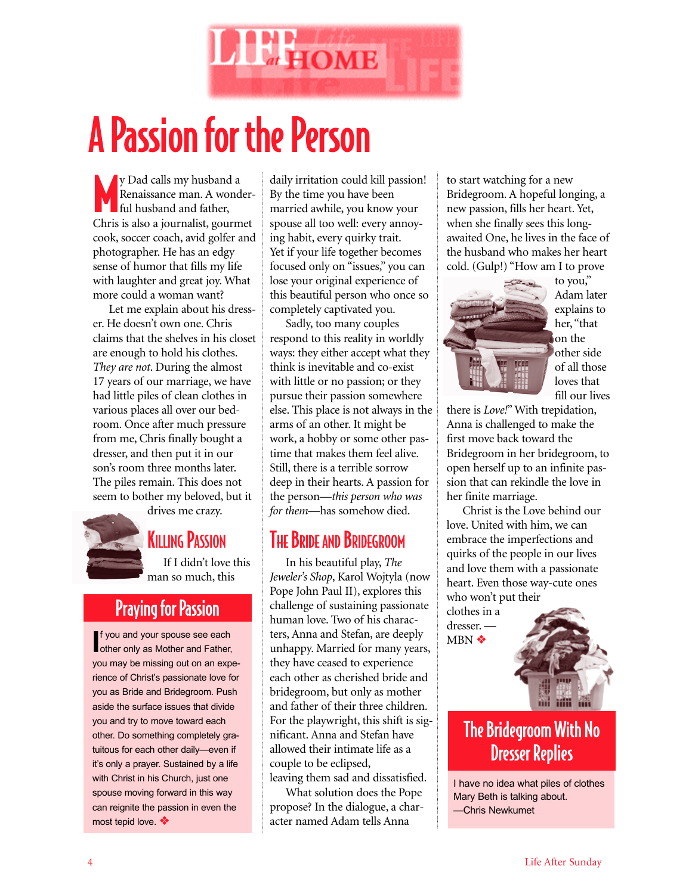

# A Passion for the Person

y Dad calls my husband<br>Renaissance man. A worked full husband and father, y Dad calls my husband a Renaissance man. A wonder-Chris is also a journalist, gourmet cook, soccer coach, avid golfer and photographer. He has an edgy sense of humor that fills my life with laughter and great joy. What more could a woman want?

Let me explain about his dresser. He doesn't own one. Chris claims that the shelves in his closet are enough to hold his clothes. *They are not*. During the almost 17 years of our marriage, we have had little piles of clean clothes in various places all over our bedroom. Once after much pressure from me, Chris finally bought a dresser, and then put it in our son's room three months later. The piles remain. This does not seem to bother my beloved, but it drives me crazy.



### **KILLING PASSION**

If I didn't love this man so much, this

### Praying for Passion

**I**f you and your spouse see each other only as Mother and Father other only as Mother and Father, you may be missing out on an experience of Christ's passionate love for you as Bride and Bridegroom. Push aside the surface issues that divide you and try to move toward each other. Do something completely gratuitous for each other daily—even if it's only a prayer. Sustained by a life with Christ in his Church, just one spouse moving forward in this way can reignite the passion in even the most tepid love. ❖

daily irritation could kill passion! By the time you have been married awhile, you know your spouse all too well: every annoying habit, every quirky trait. Yet if your life together becomes focused only on "issues," you can lose your original experience of this beautiful person who once so completely captivated you.

Sadly, too many couples respond to this reality in worldly ways: they either accept what they think is inevitable and co-exist with little or no passion; or they pursue their passion somewhere else. This place is not always in the arms of an other. It might be work, a hobby or some other pastime that makes them feel alive. Still, there is a terrible sorrow deep in their hearts. A passion for the person—*this person who was for them*—has somehow died.

### **THE BRIDE AND BRIDEGROOM**

In his beautiful play, *The Jeweler's Shop*, Karol Wojtyla (now Pope John Paul II), explores this challenge of sustaining passionate human love. Two of his characters, Anna and Stefan, are deeply unhappy. Married for many years, they have ceased to experience each other as cherished bride and bridegroom, but only as mother and father of their three children. For the playwright, this shift is significant. Anna and Stefan have allowed their intimate life as a couple to be eclipsed, leaving them sad and dissatisfied.

What solution does the Pope propose? In the dialogue, a character named Adam tells Anna

to start watching for a new Bridegroom. A hopeful longing, a new passion, fills her heart. Yet, when she finally sees this longawaited One, he lives in the face of the husband who makes her heart cold. (Gulp!) "How am I to prove



to you," Adam later explains to her, "that on the other side of all those loves that fill our lives

there is *Love!*" With trepidation, Anna is challenged to make the first move back toward the Bridegroom in her bridegroom, to open herself up to an infinite passion that can rekindle the love in her finite marriage.

Christ is the Love behind our love. United with him, we can embrace the imperfections and quirks of the people in our lives and love them with a passionate heart. Even those way-cute ones who won't put their

clothes in a dresser. — MBN ❖



### The Bridegroom With No Dresser Replies

I have no idea what piles of clothes Mary Beth is talking about. —Chris Newkumet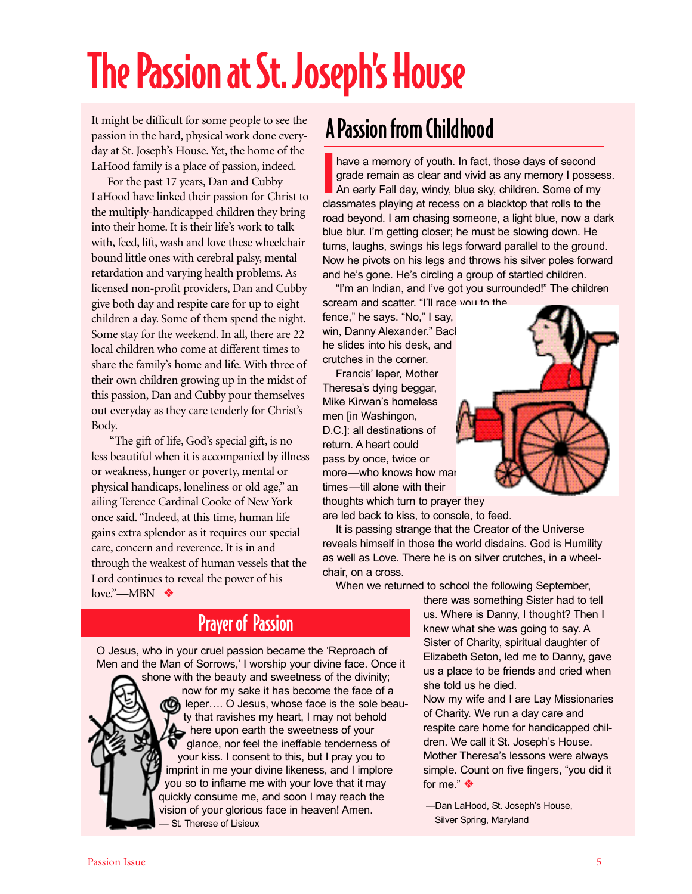# The Passion at St. Joseph's House

It might be difficult for some people to see the passion in the hard, physical work done everyday at St. Joseph's House. Yet, the home of the LaHood family is a place of passion, indeed.

For the past 17 years, Dan and Cubby LaHood have linked their passion for Christ to the multiply-handicapped children they bring into their home. It is their life's work to talk with, feed, lift, wash and love these wheelchair bound little ones with cerebral palsy, mental retardation and varying health problems. As licensed non-profit providers, Dan and Cubby give both day and respite care for up to eight children a day. Some of them spend the night. Some stay for the weekend. In all, there are 22 local children who come at different times to share the family's home and life. With three of their own children growing up in the midst of this passion, Dan and Cubby pour themselves out everyday as they care tenderly for Christ's Body.

"The gift of life, God's special gift, is no less beautiful when it is accompanied by illness or weakness, hunger or poverty, mental or physical handicaps, loneliness or old age," an ailing Terence Cardinal Cooke of New York once said. "Indeed, at this time, human life gains extra splendor as it requires our special care, concern and reverence. It is in and through the weakest of human vessels that the Lord continues to reveal the power of his love."—MBN ❖

# A Passion from Childhood

have a memory of youth. In fact, those days of second grade remain as clear and vivid as any memory I posse<br>An early Fall day, windy, blue sky, children. Some of my classmates playing at recess on a blacktop that rolls to have a memory of youth. In fact, those days of second grade remain as clear and vivid as any memory I possess. An early Fall day, windy, blue sky, children. Some of my road beyond. I am chasing someone, a light blue, now a dark blue blur. I'm getting closer; he must be slowing down. He turns, laughs, swings his legs forward parallel to the ground. Now he pivots on his legs and throws his silver poles forward and he's gone. He's circling a group of startled children.

"I'm an Indian, and I've got you surrounded!" The children scream and scatter. "I'll race you to the

fence," he says. "No," I say, win, Danny Alexander." Back he slides into his desk, and I crutches in the corner.

Francis' leper, Mother Theresa's dying beggar, Mike Kirwan's homeless men [in Washingon, D.C.]: all destinations of return. A heart could pass by once, twice or more-who knows how mar times—till alone with their thoughts which turn to prayer they

are led back to kiss, to console, to feed.

It is passing strange that the Creator of the Universe reveals himself in those the world disdains. God is Humility as well as Love. There he is on silver crutches, in a wheelchair, on a cross.

When we returned to school the following September,

Prayer of Passion

O Jesus, who in your cruel passion became the 'Reproach of Men and the Man of Sorrows,' I worship your divine face. Once it



shone with the beauty and sweetness of the divinity; now for my sake it has become the face of a  $\omega$  leper.... O Jesus, whose face is the sole beauty that ravishes my heart, I may not behold **A** here upon earth the sweetness of your glance, nor feel the ineffable tenderness of your kiss. I consent to this, but I pray you to imprint in me your divine likeness, and I implore you so to inflame me with your love that it may quickly consume me, and soon I may reach the vision of your glorious face in heaven! Amen. — St. Therese of Lisieux

there was something Sister had to tell us. Where is Danny, I thought? Then I knew what she was going to say. A Sister of Charity, spiritual daughter of Elizabeth Seton, led me to Danny, gave us a place to be friends and cried when she told us he died.

Now my wife and I are Lay Missionaries of Charity. We run a day care and respite care home for handicapped children. We call it St. Joseph's House. Mother Theresa's lessons were always simple. Count on five fingers, "you did it for me." ❖

—Dan LaHood, St. Joseph's House, Silver Spring, Maryland

#### Passion Issue ÑÑÑÑÑÑÑÑÑÑÑÑÑÑÑÑÑÑÑÑÑÑÑÑÑÑÑÑÑÑÑÑÑÑÑÑÑÑÑÑÑÑÑÑÑÑÑÑÑÑÑÑÑ 5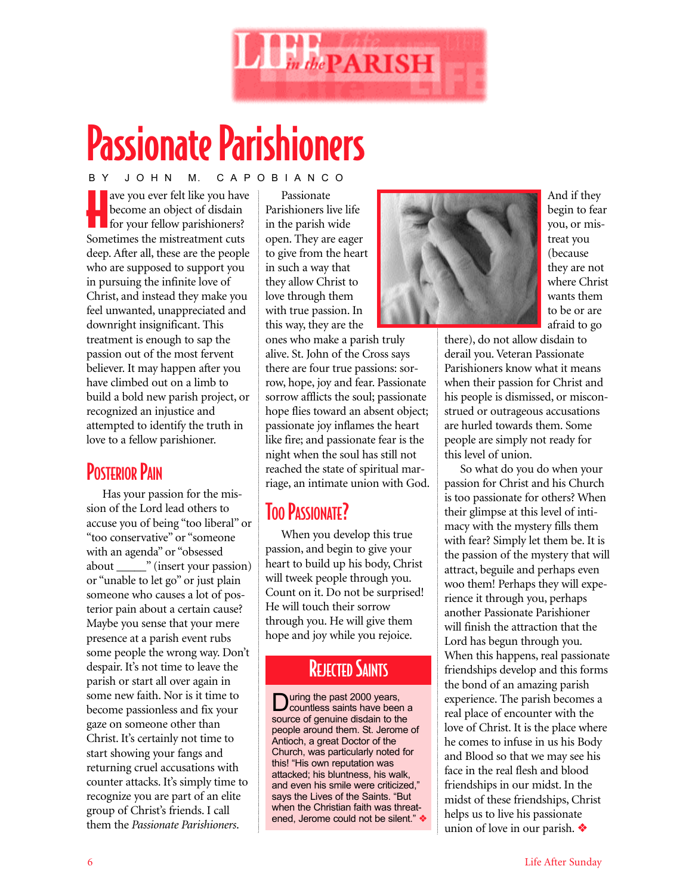

# Passionate Parishioners

ave you ever felt like you have become an object of disdain for your fellow parishioners? ave you ever felt like you have become an object of disdain Sometimes the mistreatment cuts deep. After all, these are the people who are supposed to support you in pursuing the infinite love of Christ, and instead they make you feel unwanted, unappreciated and downright insignificant. This treatment is enough to sap the passion out of the most fervent believer. It may happen after you have climbed out on a limb to build a bold new parish project, or recognized an injustice and attempted to identify the truth in love to a fellow parishioner. B Y J O H N M. C A P O B I A N C O

### **POSTERIOR PAIN**

Has your passion for the mission of the Lord lead others to accuse you of being "too liberal" or "too conservative" or "someone with an agenda" or "obsessed about \_\_\_\_\_" (insert your passion) or "unable to let go" or just plain someone who causes a lot of posterior pain about a certain cause? Maybe you sense that your mere presence at a parish event rubs some people the wrong way. Don't despair. It's not time to leave the parish or start all over again in some new faith. Nor is it time to become passionless and fix your gaze on someone other than Christ. It's certainly not time to start showing your fangs and returning cruel accusations with counter attacks. It's simply time to recognize you are part of an elite group of Christ's friends. I call them the *Passionate Parishioners*.

Passionate Parishioners live life in the parish wide open. They are eager to give from the heart in such a way that they allow Christ to love through them with true passion. In this way, they are the

ones who make a parish truly alive. St. John of the Cross says there are four true passions: sorrow, hope, joy and fear. Passionate sorrow afflicts the soul; passionate hope flies toward an absent object; passionate joy inflames the heart like fire; and passionate fear is the night when the soul has still not reached the state of spiritual marriage, an intimate union with God.

### TOO PASSIONATE?

When you develop this true passion, and begin to give your heart to build up his body, Christ will tweek people through you. Count on it. Do not be surprised! He will touch their sorrow through you. He will give them hope and joy while you rejoice.

### **REJECTED SAINTS**

During the past 2000 years,<br>Countless saints have been a source of genuine disdain to the people around them. St. Jerome of Antioch, a great Doctor of the Church, was particularly noted for this! "His own reputation was attacked; his bluntness, his walk, and even his smile were criticized," says the Lives of the Saints. "But when the Christian faith was threatened, Jerome could not be silent." ❖



And if they begin to fear you, or mistreat you (because they are not where Christ wants them to be or are afraid to go

there), do not allow disdain to derail you. Veteran Passionate Parishioners know what it means when their passion for Christ and his people is dismissed, or misconstrued or outrageous accusations are hurled towards them. Some people are simply not ready for this level of union.

So what do you do when your passion for Christ and his Church is too passionate for others? When their glimpse at this level of intimacy with the mystery fills them with fear? Simply let them be. It is the passion of the mystery that will attract, beguile and perhaps even woo them! Perhaps they will experience it through you, perhaps another Passionate Parishioner will finish the attraction that the Lord has begun through you. When this happens, real passionate friendships develop and this forms the bond of an amazing parish experience. The parish becomes a real place of encounter with the love of Christ. It is the place where he comes to infuse in us his Body and Blood so that we may see his face in the real flesh and blood friendships in our midst. In the midst of these friendships, Christ helps us to live his passionate union of love in our parish. ❖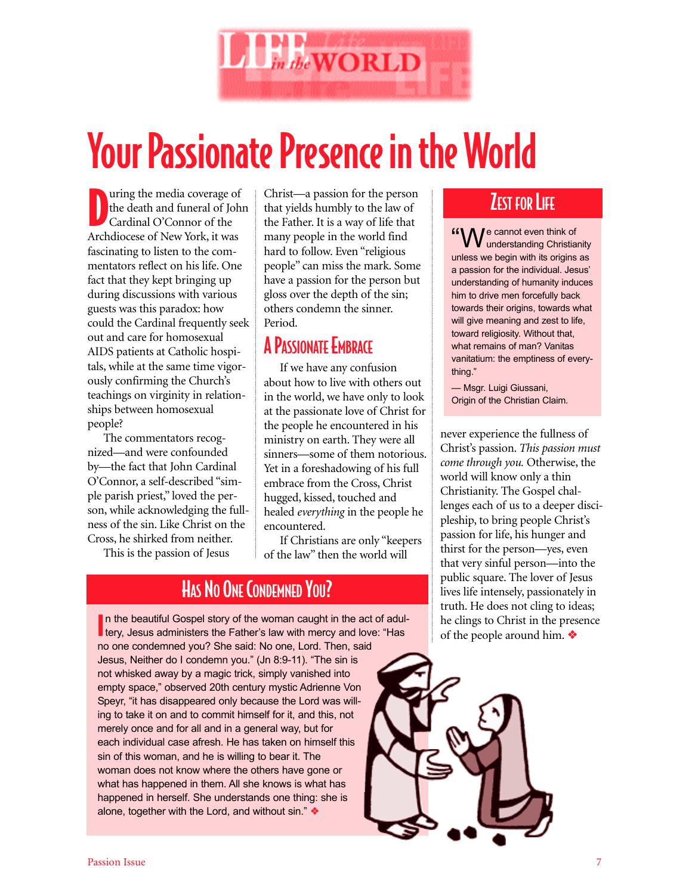

# Your Passionate Presence in the World

The media coverage of the death and funeral of Johnson Cardinal O'Connor of the Archdiocese of New York, it was uring the media coverage of the death and funeral of John Cardinal O'Connor of the fascinating to listen to the commentators reflect on his life. One fact that they kept bringing up during discussions with various guests was this paradox: how could the Cardinal frequently seek out and care for homosexual AIDS patients at Catholic hospitals, while at the same time vigorously confirming the Church's teachings on virginity in relationships between homosexual people?

The commentators recognized—and were confounded by—the fact that John Cardinal O'Connor, a self-described "simple parish priest," loved the person, while acknowledging the fullness of the sin. Like Christ on the Cross, he shirked from neither.

This is the passion of Jesus

Christ—a passion for the person that yields humbly to the law of the Father. It is a way of life that many people in the world find hard to follow. Even "religious people" can miss the mark. Some have a passion for the person but gloss over the depth of the sin; others condemn the sinner. Period.

### A PASSIONATE EMBRACE

If we have any confusion about how to live with others out in the world, we have only to look at the passionate love of Christ for the people he encountered in his ministry on earth. They were all sinners—some of them notorious. Yet in a foreshadowing of his full embrace from the Cross, Christ hugged, kissed, touched and healed *everything* in the people he encountered.

If Christians are only "keepers of the law" then the world will

### HAS NO ONE CONDEMNED YOU?

In the beautiful Gospel story of the woman caught in the act of adu<br>tery, Jesus administers the Father's law with mercy and love: "Has n the beautiful Gospel story of the woman caught in the act of adulno one condemned you? She said: No one, Lord. Then, said Jesus, Neither do I condemn you." (Jn 8:9-11). "The sin is not whisked away by a magic trick, simply vanished into empty space," observed 20th century mystic Adrienne Von Speyr, "it has disappeared only because the Lord was willing to take it on and to commit himself for it, and this, not merely once and for all and in a general way, but for each individual case afresh. He has taken on himself this sin of this woman, and he is willing to bear it. The woman does not know where the others have gone or what has happened in them. All she knows is what has happened in herself. She understands one thing: she is alone, together with the Lord, and without sin." ❖

### **ZEST FOR LIFE**

"We cannot even think of<br>Wunderstanding Christianity unless we begin with its origins as a passion for the individual. Jesus' understanding of humanity induces him to drive men forcefully back towards their origins, towards what will give meaning and zest to life, toward religiosity. Without that, what remains of man? Vanitas vanitatium: the emptiness of everything."

— Msgr. Luigi Giussani, Origin of the Christian Claim.

never experience the fullness of Christ's passion. *This passion must come through you.* Otherwise, the world will know only a thin Christianity. The Gospel challenges each of us to a deeper discipleship, to bring people Christ's passion for life, his hunger and thirst for the person—yes, even that very sinful person—into the public square. The lover of Jesus lives life intensely, passionately in truth. He does not cling to ideas; he clings to Christ in the presence of the people around him. ❖